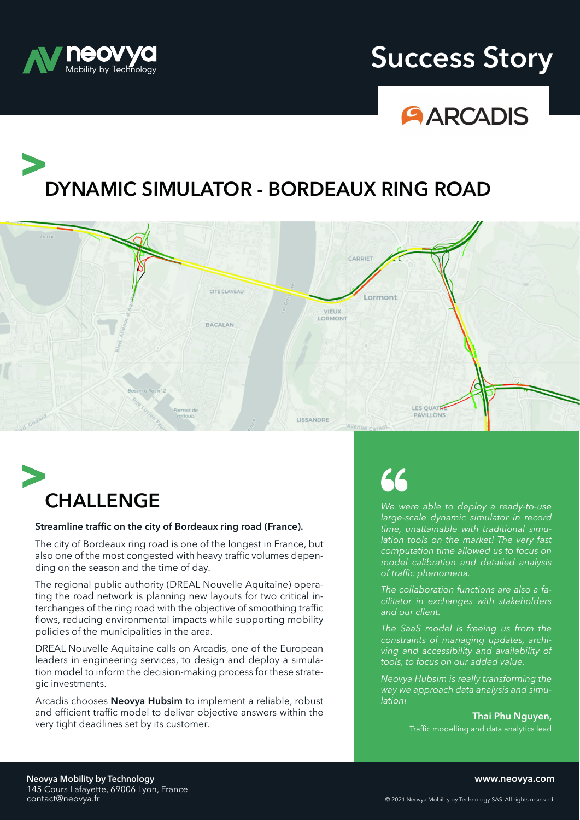

### **neovya Success Story**



# **DYNAMIC SIMULATOR - BORDEAUX RING ROAD**





#### **Streamline traffic on the city of Bordeaux ring road (France).**

The city of Bordeaux ring road is one of the longest in France, but also one of the most congested with heavy traffic volumes depending on the season and the time of day.

The regional public authority (DREAL Nouvelle Aquitaine) operating the road network is planning new layouts for two critical interchanges of the ring road with the objective of smoothing traffic flows, reducing environmental impacts while supporting mobility policies of the municipalities in the area.

DREAL Nouvelle Aquitaine calls on Arcadis, one of the European leaders in engineering services, to design and deploy a simulation model to inform the decision-making process for these strategic investments.

Arcadis chooses **Neovya Hubsim** to implement a reliable, robust and efficient traffic model to deliver objective answers within the and efficient traffic model to deliver objective answers within the **Thai Phu Nguyen,**<br>very tight deadlines set by its customer.<br>That is a solution and the earlies set by its customer.

*We were able to deploy a ready-to-use large-scale dynamic simulator in record time, unattainable with traditional simulation tools on the market! The very fast computation time allowed us to focus on model calibration and detailed analysis of traffic phenomena.*

*The collaboration functions are also a facilitator in exchanges with stakeholders and our client.*

*The SaaS model is freeing us from the constraints of managing updates, archiving and accessibility and availability of tools, to focus on our added value.*

*Neovya Hubsim is really transforming the way we approach data analysis and simulation!*

Traffic modelling and data analytics lead

**Neovya Mobility by Technology** 145 Cours Lafayette, 69006 Lyon, France<br>contact@neovya.fr **www.neovya.com**